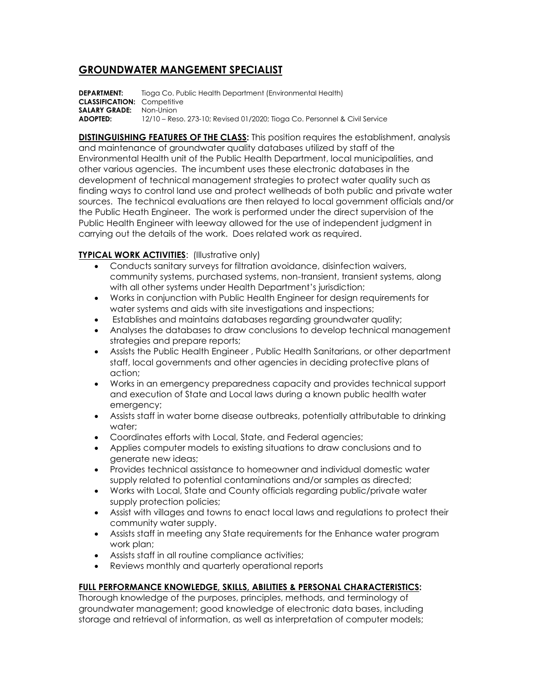## **GROUNDWATER MANGEMENT SPECIALIST**

**DEPARTMENT:** Tioga Co. Public Health Department (Environmental Health) **CLASSIFICATION:** Competitive **SALARY GRADE:** Non-Union **ADOPTED:** 12/10 – Reso. 273-10; Revised 01/2020; Tioga Co. Personnel & Civil Service

**DISTINGUISHING FEATURES OF THE CLASS:** This position requires the establishment, analysis and maintenance of groundwater quality databases utilized by staff of the Environmental Health unit of the Public Health Department, local municipalities, and other various agencies. The incumbent uses these electronic databases in the development of technical management strategies to protect water quality such as finding ways to control land use and protect wellheads of both public and private water sources. The technical evaluations are then relayed to local government officials and/or the Public Heath Engineer. The work is performed under the direct supervision of the Public Health Engineer with leeway allowed for the use of independent judgment in carrying out the details of the work. Does related work as required.

## **TYPICAL WORK ACTIVITIES:** (Illustrative only)

- Conducts sanitary surveys for filtration avoidance, disinfection waivers, community systems, purchased systems, non-transient, transient systems, along with all other systems under Health Department's jurisdiction;
- Works in conjunction with Public Health Engineer for design requirements for water systems and aids with site investigations and inspections;
- Establishes and maintains databases regarding groundwater quality;
- Analyses the databases to draw conclusions to develop technical management strategies and prepare reports;
- Assists the Public Health Engineer , Public Health Sanitarians, or other department staff, local governments and other agencies in deciding protective plans of action;
- Works in an emergency preparedness capacity and provides technical support and execution of State and Local laws during a known public health water emergency;
- Assists staff in water borne disease outbreaks, potentially attributable to drinking water;
- Coordinates efforts with Local, State, and Federal agencies;
- Applies computer models to existing situations to draw conclusions and to generate new ideas;
- Provides technical assistance to homeowner and individual domestic water supply related to potential contaminations and/or samples as directed;
- Works with Local, State and County officials regarding public/private water supply protection policies;
- Assist with villages and towns to enact local laws and regulations to protect their community water supply.
- Assists staff in meeting any State requirements for the Enhance water program work plan;
- Assists staff in all routine compliance activities;
- Reviews monthly and quarterly operational reports

## **FULL PERFORMANCE KNOWLEDGE, SKILLS, ABILITIES & PERSONAL CHARACTERISTICS:**

Thorough knowledge of the purposes, principles, methods, and terminology of groundwater management; good knowledge of electronic data bases, including storage and retrieval of information, as well as interpretation of computer models;